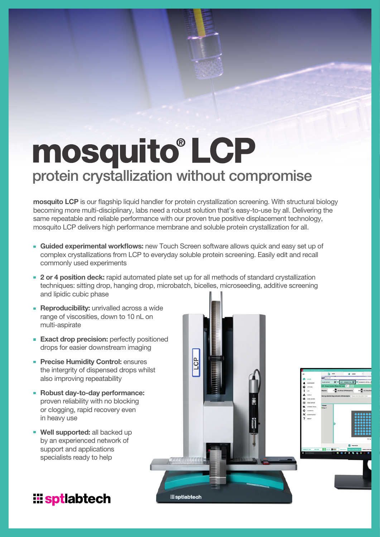# mosquito® LCP protein crystallization without compromise

mosquito LCP is our flagship liquid handler for protein crystallization screening. With structural biology becoming more multi-disciplinary, labs need a robust solution that's easy-to-use by all. Delivering the same repeatable and reliable performance with our proven true positive displacement technology, mosquito LCP delivers high performance membrane and soluble protein crystallization for all.

- **Guided experimental workflows:** new Touch Screen software allows quick and easy set up of complex crystallizations from LCP to everyday soluble protein screening. Easily edit and recall commonly used experiments
- **2 or 4 position deck:** rapid automated plate set up for all methods of standard crystallization techniques: sitting drop, hanging drop, microbatch, bicelles, microseeding, additive screening and lipidic cubic phase

**B** 

**iii** sptlabtech

- **Reproducibility:** unrivalled across a wide range of viscosities, down to 10 nL on multi-aspirate
- **Exact drop precision:** perfectly positioned drops for easier downstream imaging
- **Precise Humidity Control: ensures** the intergrity of dispensed drops whilst also improving repeatability
- Robust day-to-day performance: proven reliability with no blocking or clogging, rapid recovery even in heavy use
- **Well supported: all backed up** by an experienced network of support and applications specialists ready to help